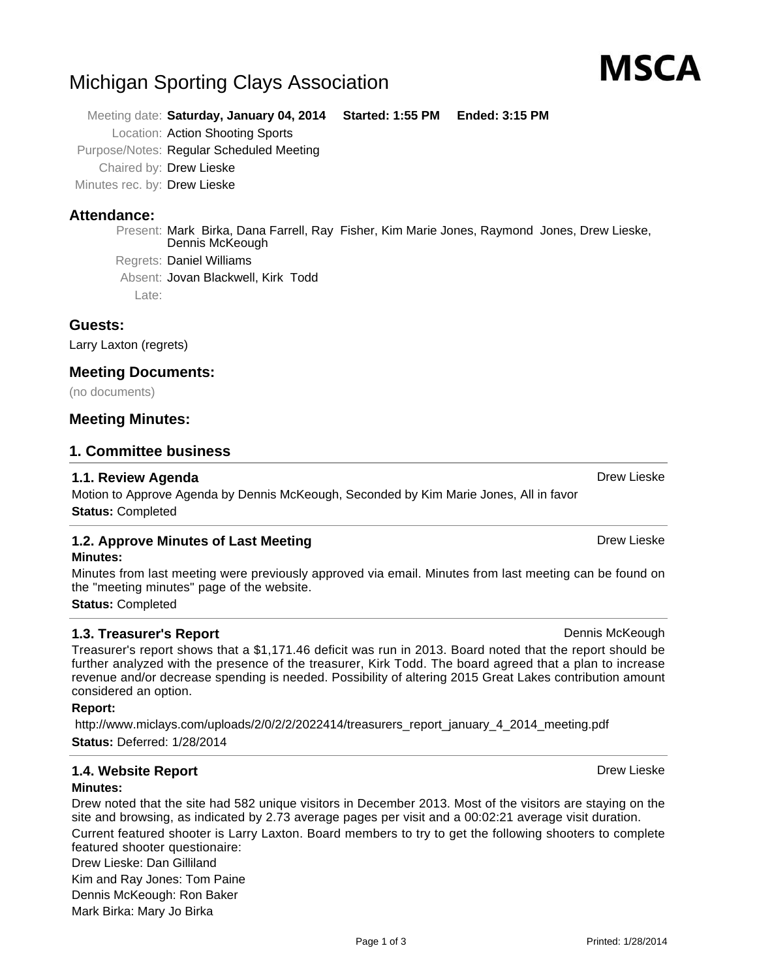Present: Mark Birka, Dana Farrell, Ray Fisher, Kim Marie Jones, Raymond Jones, Drew Lieske,

**Guests:**

**Attendance:**

Larry Laxton (regrets)

# **Meeting Documents:**

Late:

(no documents)

# **Meeting Minutes:**

### **1. Committee business**

### **1.1. Review Agenda** Drew Lieske Books, and the control of the control of the control of the control of the control of the control of the control of the control of the control of the control of the control of the control o

Motion to Approve Agenda by Dennis McKeough, Seconded by Kim Marie Jones, All in favor **Status:** Completed

### **1.2. Approve Minutes of Last Meeting Community Community Community Community Community Community Community Community Minutes:**

Minutes from last meeting were previously approved via email. Minutes from last meeting can be found on the "meeting minutes" page of the website.

**Status:** Completed

# **1.3. Treasurer's Report Dennis McKeough Dennis McKeough**

Treasurer's report shows that a \$1,171.46 deficit was run in 2013. Board noted that the report should be further analyzed with the presence of the treasurer, Kirk Todd. The board agreed that a plan to increase revenue and/or decrease spending is needed. Possibility of altering 2015 Great Lakes contribution amount considered an option.

### **Report:**

http://www.miclays.com/uploads/2/0/2/2/2022414/treasurers\_report\_january\_4\_2014\_meeting.pdf **Status:** Deferred: 1/28/2014

# **1.4. Website Report Drew Lieske Drew Lieske Drew Lieske Drew Lieske**

### **Minutes:**

Drew noted that the site had 582 unique visitors in December 2013. Most of the visitors are staying on the site and browsing, as indicated by 2.73 average pages per visit and a 00:02:21 average visit duration. Current featured shooter is Larry Laxton. Board members to try to get the following shooters to complete featured shooter questionaire:

Drew Lieske: Dan Gilliland Kim and Ray Jones: Tom Paine Dennis McKeough: Ron Baker Mark Birka: Mary Jo Birka

Printed: 1/28/2014

Page 1 of 3

MSCA

# Michigan Sporting Clays Association

Location: Action Shooting Sports Purpose/Notes: Regular Scheduled Meeting

Dennis McKeough

Absent: Jovan Blackwell, Kirk Todd

Chaired by: Drew Lieske Minutes rec. by: Drew Lieske

Regrets: Daniel Williams

Meeting date: **Saturday, January 04, 2014 Started: 1:55 PM Ended: 3:15 PM**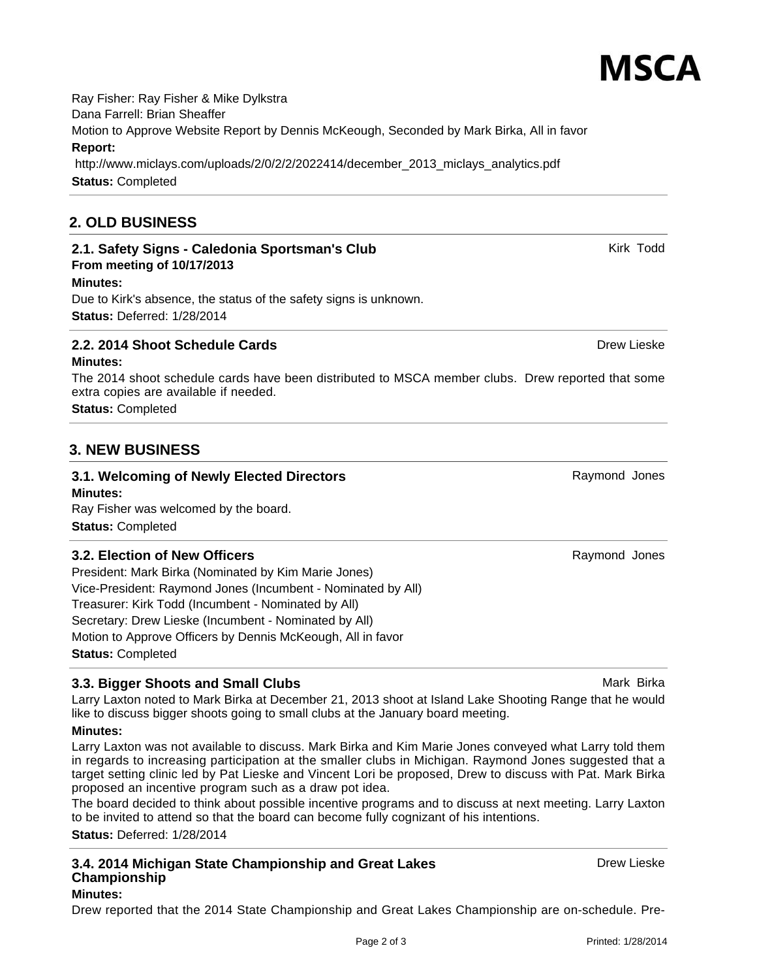Ray Fisher: Ray Fisher & Mike Dylkstra Dana Farrell: Brian Sheaffer Motion to Approve Website Report by Dennis McKeough, Seconded by Mark Birka, All in favor **Report:** http://www.miclays.com/uploads/2/0/2/2/2022414/december\_2013\_miclays\_analytics.pdf **Status:** Completed

# **2. OLD BUSINESS**

# **2.1. Safety Signs - Caledonia Sportsman's Club** Kirk Todd Kirk Todd

# **From meeting of 10/17/2013**

**Minutes:** Due to Kirk's absence, the status of the safety signs is unknown. **Status:** Deferred: 1/28/2014

# **2.2. 2014 Shoot Schedule Cards** Drew Lieske Drew Lieske Drew Lieske

### **Minutes:**

The 2014 shoot schedule cards have been distributed to MSCA member clubs. Drew reported that some extra copies are available if needed.

**Status:** Completed

# **3. NEW BUSINESS**

### **3.1. Welcoming of Newly Elected Directors Raymond Jones** Raymond Jones **Minutes:**

Ray Fisher was welcomed by the board. **Status:** Completed

# **3.2. Election of New Officers** Raymond Jones Raymond Jones

President: Mark Birka (Nominated by Kim Marie Jones) Vice-President: Raymond Jones (Incumbent - Nominated by All) Treasurer: Kirk Todd (Incumbent - Nominated by All) Secretary: Drew Lieske (Incumbent - Nominated by All) Motion to Approve Officers by Dennis McKeough, All in favor **Status:** Completed

# **3.3. Bigger Shoots and Small Clubs** Mark Birka Mark Birka Mark Birka Mark Birka Mark Birka Mark Birka Mark Birka

Larry Laxton noted to Mark Birka at December 21, 2013 shoot at Island Lake Shooting Range that he would like to discuss bigger shoots going to small clubs at the January board meeting.

# **Minutes:**

Larry Laxton was not available to discuss. Mark Birka and Kim Marie Jones conveyed what Larry told them in regards to increasing participation at the smaller clubs in Michigan. Raymond Jones suggested that a target setting clinic led by Pat Lieske and Vincent Lori be proposed, Drew to discuss with Pat. Mark Birka proposed an incentive program such as a draw pot idea.

The board decided to think about possible incentive programs and to discuss at next meeting. Larry Laxton to be invited to attend so that the board can become fully cognizant of his intentions.

**Status:** Deferred: 1/28/2014

#### **3.4. 2014 Michigan State Championship and Great Lakes Championship Minutes:**

Drew reported that the 2014 State Championship and Great Lakes Championship are on-schedule. Pre-



Drew Lieske

**MSCA**